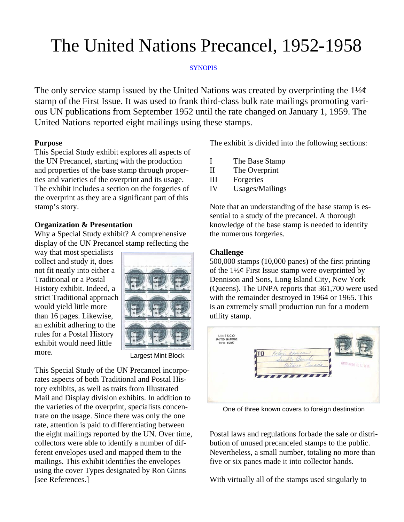# The United Nations Precancel, 1952-1958

## **SYNOPIS**

The only service stamp issued by the United Nations was created by overprinting the  $1\frac{1}{2}\varphi$ stamp of the First Issue. It was used to frank third-class bulk rate mailings promoting various UN publications from September 1952 until the rate changed on January 1, 1959. The United Nations reported eight mailings using these stamps.

## **Purpose**

This Special Study exhibit explores all aspects of the UN Precancel, starting with the production and properties of the base stamp through properties and varieties of the overprint and its usage. The exhibit includes a section on the forgeries of the overprint as they are a significant part of this stamp's story.

## **Organization & Presentation**

Why a Special Study exhibit? A comprehensive display of the UN Precancel stamp reflecting the

way that most specialists collect and study it, does not fit neatly into either a Traditional or a Postal History exhibit. Indeed, a strict Traditional approach would yield little more than 16 pages. Likewise, an exhibit adhering to the rules for a Postal History exhibit would need little more.



Largest Mint Block

This Special Study of the UN Precancel incorporates aspects of both Traditional and Postal History exhibits, as well as traits from Illustrated Mail and Display division exhibits. In addition to the varieties of the overprint, specialists concentrate on the usage. Since there was only the one rate, attention is paid to differentiating between the eight mailings reported by the UN. Over time, collectors were able to identify a number of different envelopes used and mapped them to the mailings. This exhibit identifies the envelopes using the cover Types designated by Ron Ginns [see References.]

The exhibit is divided into the following sections:

- I The Base Stamp
- II The Overprint
- III Forgeries
- IV Usages/Mailings

Note that an understanding of the base stamp is essential to a study of the precancel. A thorough knowledge of the base stamp is needed to identify the numerous forgeries.

## **Challenge**

500,000 stamps (10,000 panes) of the first printing of the  $1\frac{1}{2}\phi$  First Issue stamp were overprinted by Dennison and Sons, Long Island City, New York (Queens). The UNPA reports that 361,700 were used with the remainder destroyed in 1964 or 1965. This is an extremely small production run for a modern utility stamp.



One of three known covers to foreign destination

Postal laws and regulations forbade the sale or distribution of unused precanceled stamps to the public. Nevertheless, a small number, totaling no more than five or six panes made it into collector hands.

With virtually all of the stamps used singularly to